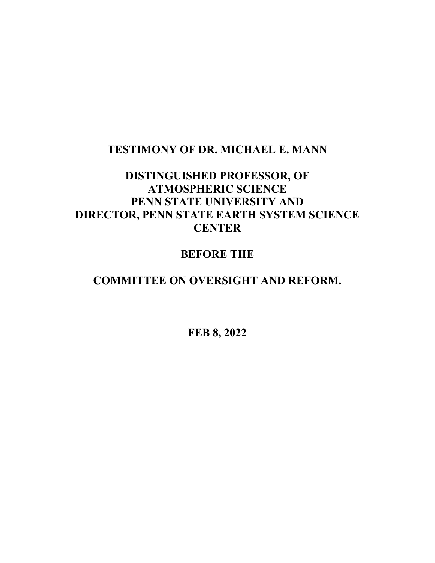### **TESTIMONY OF DR. MICHAEL E. MANN**

# **DISTINGUISHED PROFESSOR, OF ATMOSPHERIC SCIENCE PENN STATE UNIVERSITY AND DIRECTOR, PENN STATE EARTH SYSTEM SCIENCE CENTER**

# **BEFORE THE**

## **COMMITTEE ON OVERSIGHT AND REFORM.**

**FEB 8, 2022**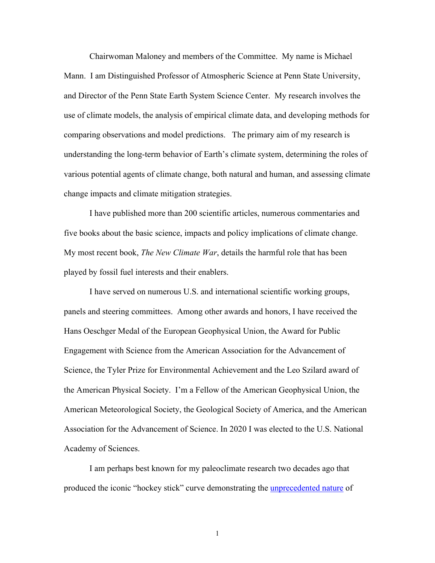Chairwoman Maloney and members of the Committee. My name is Michael Mann. I am Distinguished Professor of Atmospheric Science at Penn State University, and Director of the Penn State Earth System Science Center. My research involves the use of climate models, the analysis of empirical climate data, and developing methods for comparing observations and model predictions. The primary aim of my research is understanding the long-term behavior of Earth's climate system, determining the roles of various potential agents of climate change, both natural and human, and assessing climate change impacts and climate mitigation strategies.

I have published more than 200 scientific articles, numerous commentaries and five books about the basic science, impacts and policy implications of climate change. My most recent book, *The New Climate War*, details the harmful role that has been played by fossil fuel interests and their enablers.

I have served on numerous U.S. and international scientific working groups, panels and steering committees. Among other awards and honors, I have received the Hans Oeschger Medal of the European Geophysical Union, the Award for Public Engagement with Science from the American Association for the Advancement of Science, the Tyler Prize for Environmental Achievement and the Leo Szilard award of the American Physical Society. I'm a Fellow of the American Geophysical Union, the American Meteorological Society, the Geological Society of America, and the American Association for the Advancement of Science. In 2020 I was elected to the U.S. National Academy of Sciences.

I am perhaps best known for my paleoclimate research two decades ago that produced the iconic "hockey stick" curve demonstrating the *unprecedented nature* of

1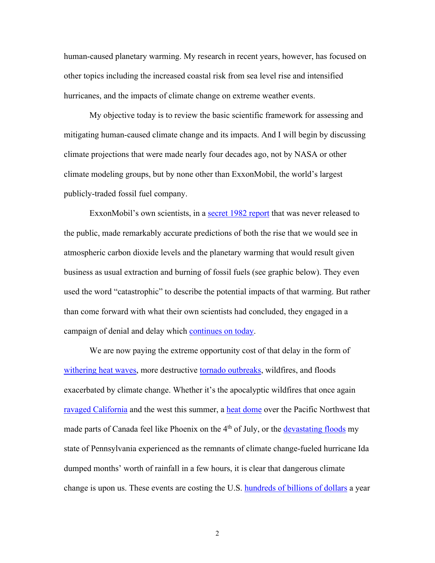human-caused planetary warming. My research in recent years, however, has focused on other topics including the increased coastal risk from sea level rise and intensified hurricanes, and the impacts of climate change on extreme weather events.

My objective today is to review the basic scientific framework for assessing and mitigating human-caused climate change and its impacts. And I will begin by discussing climate projections that were made nearly four decades ago, not by NASA or other climate modeling groups, but by none other than ExxonMobil, the world's largest publicly-traded fossil fuel company.

ExxonMobil's own scientists, in a [secret 1982 report](https://insideclimatenews.org/news/22092015/exxon-confirmed-global-warming-consensus-in-1982-with-in-house-climate-models/) that was never released to the public, made remarkably accurate predictions of both the rise that we would see in atmospheric carbon dioxide levels and the planetary warming that would result given business as usual extraction and burning of fossil fuels (see graphic below). They even used the word "catastrophic" to describe the potential impacts of that warming. But rather than come forward with what their own scientists had concluded, they engaged in a campaign of denial and delay which [continues on today.](https://www.npr.org/2021/07/01/1012138741/exxon-lobbyist-caught-on-video-talks-about-undermining-bidens-climate-push)

We are now paying the extreme opportunity cost of that delay in the form of [withering heat waves,](https://www.nytimes.com/2021/06/29/opinion/heat-dome-climate-change.html) more destructive [tornado outbreaks,](https://www.usatoday.com/story/news/nation/2021/12/13/did-climate-change-play-role-deadly-weekend-tornadoes/6495496001/) wildfires, and floods exacerbated by climate change. Whether it's the apocalyptic wildfires that once again [ravaged California](https://thehill.com/opinion/energy-environment/568462-july-was-a-frankenstein-month-created-by-the-fossil-fuel-industry?fbclid=IwAR2Rdf1G5AdhA46ncczhkTzTjMNLt2a9OTSwTbJh4viVTPGbYZeBKmAeWnM) and the west this summer, a [heat dome](https://www.nytimes.com/2021/06/29/opinion/heat-dome-climate-change.html) over the Pacific Northwest that made parts of Canada feel like Phoenix on the 4<sup>th</sup> of July, or the [devastating floods](https://www.centredaily.com/opinion/opn-columns-blogs/article254013388.html) my state of Pennsylvania experienced as the remnants of climate change-fueled hurricane Ida dumped months' worth of rainfall in a few hours, it is clear that dangerous climate change is upon us. These events are costing the U.S. [hundreds of billions of dollars](https://www.bloomberg.com/news/articles/2021-12-27/climate-driven-extreme-weather-cost-hundreds-of-billions-in-2021) a year

2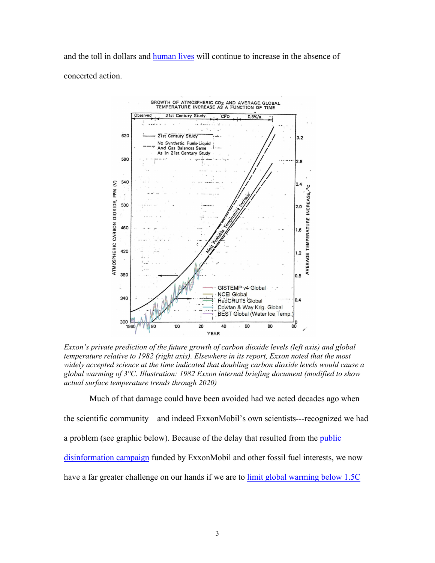and the toll in dollars and [human lives](https://thehill.com/policy/energy-environment/589024-top-us-weather-climate-disasters-killed-nearly-700-last-year-noaa) will continue to increase in the absence of concerted action.



*Exxon's private prediction of the future growth of carbon dioxide levels (left axis) and global temperature relative to 1982 (right axis). Elsewhere in its report, Exxon noted that the most widely accepted science at the time indicated that doubling carbon dioxide levels would cause a global warming of 3°C. Illustration: 1982 Exxon internal briefing document (modified to show actual surface temperature trends through 2020)*

Much of that damage could have been avoided had we acted decades ago when

the scientific community—and indeed ExxonMobil's own scientists---recognized we had

a problem (see graphic below). Because of the delay that resulted from the *public* 

[disinformation campaign](https://skepticalinquirer.org/2020/03/how-to-win-the-new-climate-war/) funded by ExxonMobil and other fossil fuel interests, we now

have a far greater challenge on our hands if we are to [limit global warming below 1.5C](https://www.ipcc.ch/sr15/)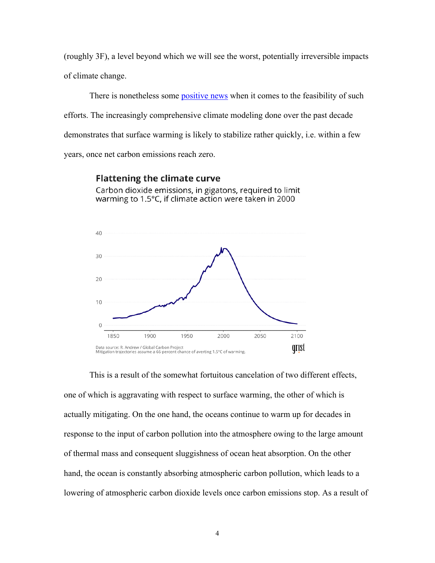(roughly 3F), a level beyond which we will see the worst, potentially irreversible impacts of climate change.

There is nonetheless some [positive](https://www.cjr.org/covering_climate_now/michael-mann-60-minutes-emissions-warming.php) news when it comes to the feasibility of such efforts. The increasingly comprehensive climate modeling done over the past decade demonstrates that surface warming is likely to stabilize rather quickly, i.e. within a few years, once net carbon emissions reach zero.

#### **Flattening the climate curve**

Carbon dioxide emissions, in gigatons, required to limit warming to 1.5°C, if climate action were taken in 2000



This is a result of the somewhat fortuitous cancelation of two different effects, one of which is aggravating with respect to surface warming, the other of which is actually mitigating. On the one hand, the oceans continue to warm up for decades in response to the input of carbon pollution into the atmosphere owing to the large amount of thermal mass and consequent sluggishness of ocean heat absorption. On the other hand, the ocean is constantly absorbing atmospheric carbon pollution, which leads to a lowering of atmospheric carbon dioxide levels once carbon emissions stop. As a result of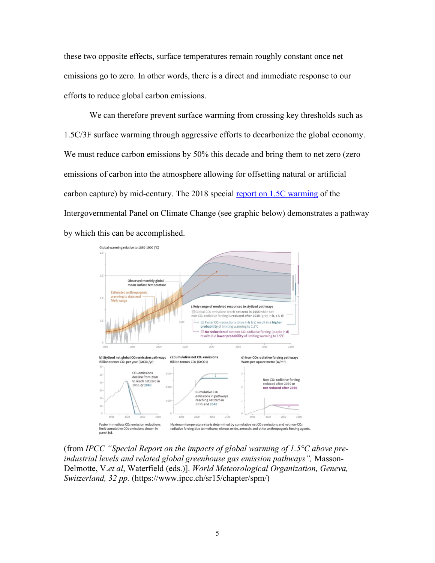these two opposite effects, surface temperatures remain roughly constant once net emissions go to zero. In other words, there is a direct and immediate response to our efforts to reduce global carbon emissions.

We can therefore prevent surface warming from crossing key thresholds such as 1.5C/3F surface warming through aggressive efforts to decarbonize the global economy. We must reduce carbon emissions by 50% this decade and bring them to net zero (zero emissions of carbon into the atmosphere allowing for offsetting natural or artificial carbon capture) by mid-century. The 2018 special [report on 1.5C warming](https://www.ipcc.ch/sr15/) of the Intergovernmental Panel on Climate Change (see graphic below) demonstrates a pathway by which this can be accomplished.



(from *IPCC "Special Report on the impacts of global warming of 1.5°C above preindustrial levels and related global greenhouse gas emission pathways",* Masson-Delmotte, V.*et al*, Waterfield (eds.)]. *World Meteorological Organization, Geneva, Switzerland, 32 pp.* (https://www.ipcc.ch/sr15/chapter/spm/)